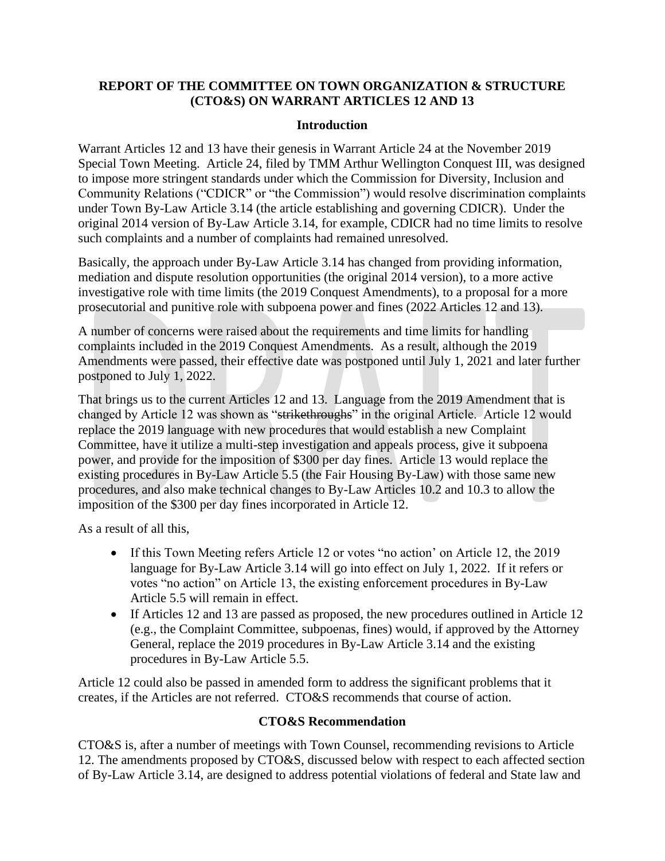## **REPORT OF THE COMMITTEE ON TOWN ORGANIZATION & STRUCTURE (CTO&S) ON WARRANT ARTICLES 12 AND 13**

#### **Introduction**

Warrant Articles 12 and 13 have their genesis in Warrant Article 24 at the November 2019 Special Town Meeting. Article 24, filed by TMM Arthur Wellington Conquest III, was designed to impose more stringent standards under which the Commission for Diversity, Inclusion and Community Relations ("CDICR" or "the Commission") would resolve discrimination complaints under Town By-Law Article 3.14 (the article establishing and governing CDICR). Under the original 2014 version of By-Law Article 3.14, for example, CDICR had no time limits to resolve such complaints and a number of complaints had remained unresolved.

Basically, the approach under By-Law Article 3.14 has changed from providing information, mediation and dispute resolution opportunities (the original 2014 version), to a more active investigative role with time limits (the 2019 Conquest Amendments), to a proposal for a more prosecutorial and punitive role with subpoena power and fines (2022 Articles 12 and 13).

A number of concerns were raised about the requirements and time limits for handling complaints included in the 2019 Conquest Amendments. As a result, although the 2019 Amendments were passed, their effective date was postponed until July 1, 2021 and later further postponed to July 1, 2022.

That brings us to the current Articles 12 and 13. Language from the 2019 Amendment that is changed by Article 12 was shown as "strikethroughs" in the original Article. Article 12 would replace the 2019 language with new procedures that would establish a new Complaint Committee, have it utilize a multi-step investigation and appeals process, give it subpoena power, and provide for the imposition of \$300 per day fines. Article 13 would replace the existing procedures in By-Law Article 5.5 (the Fair Housing By-Law) with those same new procedures, and also make technical changes to By-Law Articles 10.2 and 10.3 to allow the imposition of the \$300 per day fines incorporated in Article 12.

As a result of all this,

- If this Town Meeting refers Article 12 or votes "no action" on Article 12, the 2019 language for By-Law Article 3.14 will go into effect on July 1, 2022. If it refers or votes "no action" on Article 13, the existing enforcement procedures in By-Law Article 5.5 will remain in effect.
- If Articles 12 and 13 are passed as proposed, the new procedures outlined in Article 12 (e.g., the Complaint Committee, subpoenas, fines) would, if approved by the Attorney General, replace the 2019 procedures in By-Law Article 3.14 and the existing procedures in By-Law Article 5.5.

Article 12 could also be passed in amended form to address the significant problems that it creates, if the Articles are not referred. CTO&S recommends that course of action.

#### **CTO&S Recommendation**

CTO&S is, after a number of meetings with Town Counsel, recommending revisions to Article 12. The amendments proposed by CTO&S, discussed below with respect to each affected section of By-Law Article 3.14, are designed to address potential violations of federal and State law and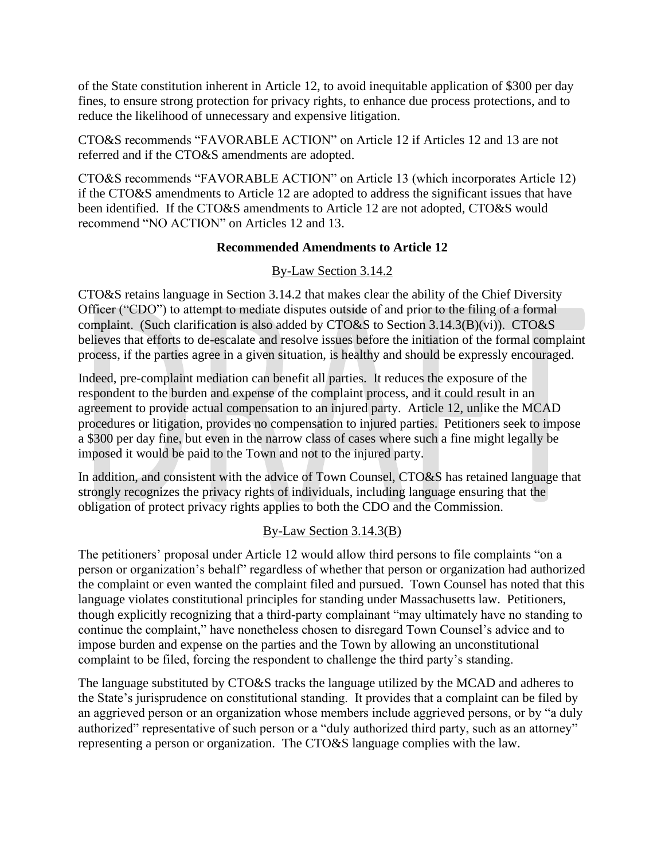of the State constitution inherent in Article 12, to avoid inequitable application of \$300 per day fines, to ensure strong protection for privacy rights, to enhance due process protections, and to reduce the likelihood of unnecessary and expensive litigation.

CTO&S recommends "FAVORABLE ACTION" on Article 12 if Articles 12 and 13 are not referred and if the CTO&S amendments are adopted.

CTO&S recommends "FAVORABLE ACTION" on Article 13 (which incorporates Article 12) if the CTO&S amendments to Article 12 are adopted to address the significant issues that have been identified. If the CTO&S amendments to Article 12 are not adopted, CTO&S would recommend "NO ACTION" on Articles 12 and 13.

#### **Recommended Amendments to Article 12**

## By-Law Section 3.14.2

CTO&S retains language in Section 3.14.2 that makes clear the ability of the Chief Diversity Officer ("CDO") to attempt to mediate disputes outside of and prior to the filing of a formal complaint. (Such clarification is also added by CTO&S to Section 3.14.3(B)(vi)). CTO&S believes that efforts to de-escalate and resolve issues before the initiation of the formal complaint process, if the parties agree in a given situation, is healthy and should be expressly encouraged.

Indeed, pre-complaint mediation can benefit all parties. It reduces the exposure of the respondent to the burden and expense of the complaint process, and it could result in an agreement to provide actual compensation to an injured party. Article 12, unlike the MCAD procedures or litigation, provides no compensation to injured parties. Petitioners seek to impose a \$300 per day fine, but even in the narrow class of cases where such a fine might legally be imposed it would be paid to the Town and not to the injured party.

In addition, and consistent with the advice of Town Counsel, CTO&S has retained language that strongly recognizes the privacy rights of individuals, including language ensuring that the obligation of protect privacy rights applies to both the CDO and the Commission.

## By-Law Section 3.14.3(B)

The petitioners' proposal under Article 12 would allow third persons to file complaints "on a person or organization's behalf" regardless of whether that person or organization had authorized the complaint or even wanted the complaint filed and pursued. Town Counsel has noted that this language violates constitutional principles for standing under Massachusetts law. Petitioners, though explicitly recognizing that a third-party complainant "may ultimately have no standing to continue the complaint," have nonetheless chosen to disregard Town Counsel's advice and to impose burden and expense on the parties and the Town by allowing an unconstitutional complaint to be filed, forcing the respondent to challenge the third party's standing.

The language substituted by CTO&S tracks the language utilized by the MCAD and adheres to the State's jurisprudence on constitutional standing. It provides that a complaint can be filed by an aggrieved person or an organization whose members include aggrieved persons, or by "a duly authorized" representative of such person or a "duly authorized third party, such as an attorney" representing a person or organization. The CTO&S language complies with the law.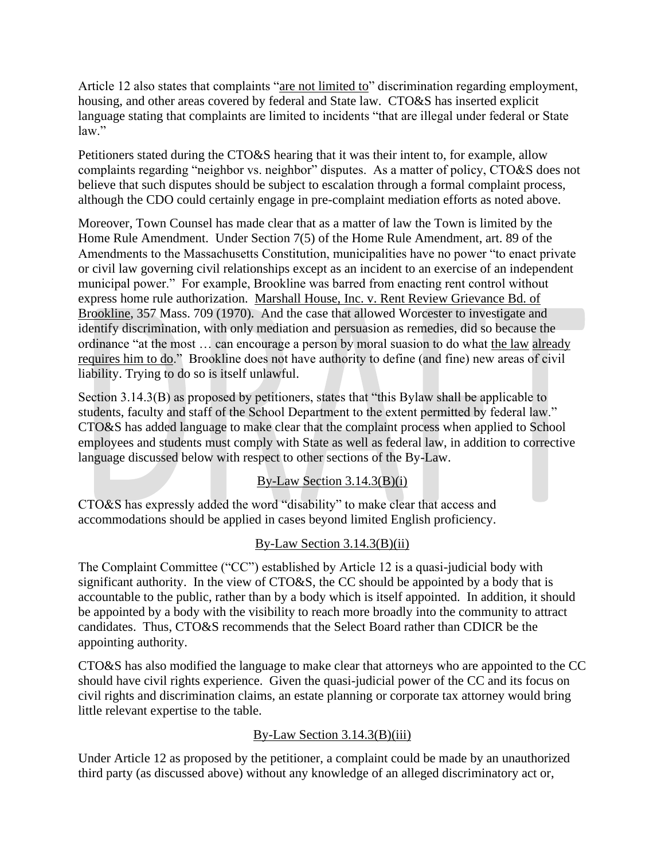Article 12 also states that complaints "are not limited to" discrimination regarding employment, housing, and other areas covered by federal and State law. CTO&S has inserted explicit language stating that complaints are limited to incidents "that are illegal under federal or State law."

Petitioners stated during the CTO&S hearing that it was their intent to, for example, allow complaints regarding "neighbor vs. neighbor" disputes. As a matter of policy, CTO&S does not believe that such disputes should be subject to escalation through a formal complaint process, although the CDO could certainly engage in pre-complaint mediation efforts as noted above.

Moreover, Town Counsel has made clear that as a matter of law the Town is limited by the Home Rule Amendment. Under Section 7(5) of the Home Rule Amendment, art. 89 of the Amendments to the Massachusetts Constitution, municipalities have no power "to enact private or civil law governing civil relationships except as an incident to an exercise of an independent municipal power." For example, Brookline was barred from enacting rent control without express home rule authorization. Marshall House, Inc. v. Rent Review Grievance Bd. of Brookline, 357 Mass. 709 (1970). And the case that allowed Worcester to investigate and identify discrimination, with only mediation and persuasion as remedies, did so because the ordinance "at the most … can encourage a person by moral suasion to do what the law already requires him to do." Brookline does not have authority to define (and fine) new areas of civil liability. Trying to do so is itself unlawful.

Section 3.14.3(B) as proposed by petitioners, states that "this Bylaw shall be applicable to students, faculty and staff of the School Department to the extent permitted by federal law." CTO&S has added language to make clear that the complaint process when applied to School employees and students must comply with State as well as federal law, in addition to corrective language discussed below with respect to other sections of the By-Law.

## By-Law Section  $3.14.3(B)(i)$

CTO&S has expressly added the word "disability" to make clear that access and accommodations should be applied in cases beyond limited English proficiency.

## By-Law Section  $3.14.3(B)(ii)$

The Complaint Committee ("CC") established by Article 12 is a quasi-judicial body with significant authority. In the view of CTO&S, the CC should be appointed by a body that is accountable to the public, rather than by a body which is itself appointed. In addition, it should be appointed by a body with the visibility to reach more broadly into the community to attract candidates. Thus, CTO&S recommends that the Select Board rather than CDICR be the appointing authority.

CTO&S has also modified the language to make clear that attorneys who are appointed to the CC should have civil rights experience. Given the quasi-judicial power of the CC and its focus on civil rights and discrimination claims, an estate planning or corporate tax attorney would bring little relevant expertise to the table.

# By-Law Section  $3.14.3(B)(iii)$

Under Article 12 as proposed by the petitioner, a complaint could be made by an unauthorized third party (as discussed above) without any knowledge of an alleged discriminatory act or,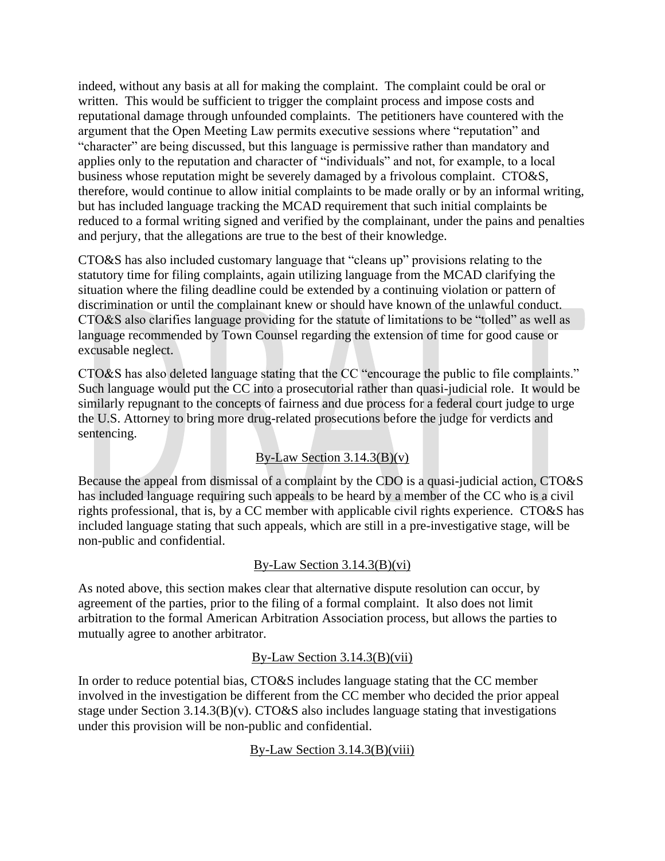indeed, without any basis at all for making the complaint. The complaint could be oral or written. This would be sufficient to trigger the complaint process and impose costs and reputational damage through unfounded complaints. The petitioners have countered with the argument that the Open Meeting Law permits executive sessions where "reputation" and "character" are being discussed, but this language is permissive rather than mandatory and applies only to the reputation and character of "individuals" and not, for example, to a local business whose reputation might be severely damaged by a frivolous complaint. CTO&S, therefore, would continue to allow initial complaints to be made orally or by an informal writing, but has included language tracking the MCAD requirement that such initial complaints be reduced to a formal writing signed and verified by the complainant, under the pains and penalties and perjury, that the allegations are true to the best of their knowledge.

CTO&S has also included customary language that "cleans up" provisions relating to the statutory time for filing complaints, again utilizing language from the MCAD clarifying the situation where the filing deadline could be extended by a continuing violation or pattern of discrimination or until the complainant knew or should have known of the unlawful conduct. CTO&S also clarifies language providing for the statute of limitations to be "tolled" as well as language recommended by Town Counsel regarding the extension of time for good cause or excusable neglect.

CTO&S has also deleted language stating that the CC "encourage the public to file complaints." Such language would put the CC into a prosecutorial rather than quasi-judicial role. It would be similarly repugnant to the concepts of fairness and due process for a federal court judge to urge the U.S. Attorney to bring more drug-related prosecutions before the judge for verdicts and sentencing.

## By-Law Section  $3.14.3(B)(v)$

Because the appeal from dismissal of a complaint by the CDO is a quasi-judicial action, CTO&S has included language requiring such appeals to be heard by a member of the CC who is a civil rights professional, that is, by a CC member with applicable civil rights experience. CTO&S has included language stating that such appeals, which are still in a pre-investigative stage, will be non-public and confidential.

## By-Law Section 3.14.3(B)(vi)

As noted above, this section makes clear that alternative dispute resolution can occur, by agreement of the parties, prior to the filing of a formal complaint. It also does not limit arbitration to the formal American Arbitration Association process, but allows the parties to mutually agree to another arbitrator.

## By-Law Section 3.14.3(B)(vii)

In order to reduce potential bias, CTO&S includes language stating that the CC member involved in the investigation be different from the CC member who decided the prior appeal stage under Section 3.14.3(B)(v). CTO&S also includes language stating that investigations under this provision will be non-public and confidential.

## By-Law Section  $3.14.3(B)(viii)$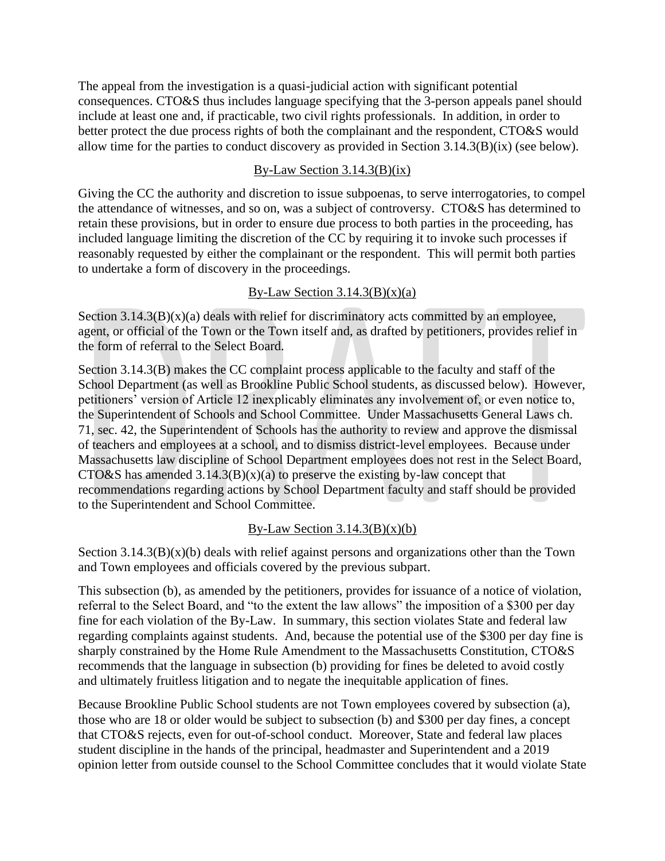The appeal from the investigation is a quasi-judicial action with significant potential consequences. CTO&S thus includes language specifying that the 3-person appeals panel should include at least one and, if practicable, two civil rights professionals. In addition, in order to better protect the due process rights of both the complainant and the respondent, CTO&S would allow time for the parties to conduct discovery as provided in Section 3.14.3(B)(ix) (see below).

#### By-Law Section  $3.14.3(B)(ix)$

Giving the CC the authority and discretion to issue subpoenas, to serve interrogatories, to compel the attendance of witnesses, and so on, was a subject of controversy. CTO&S has determined to retain these provisions, but in order to ensure due process to both parties in the proceeding, has included language limiting the discretion of the CC by requiring it to invoke such processes if reasonably requested by either the complainant or the respondent. This will permit both parties to undertake a form of discovery in the proceedings.

## By-Law Section  $3.14.3(B)(x)(a)$

Section  $3.14.3(B)(x)(a)$  deals with relief for discriminatory acts committed by an employee, agent, or official of the Town or the Town itself and, as drafted by petitioners, provides relief in the form of referral to the Select Board.

Section 3.14.3(B) makes the CC complaint process applicable to the faculty and staff of the School Department (as well as Brookline Public School students, as discussed below). However, petitioners' version of Article 12 inexplicably eliminates any involvement of, or even notice to, the Superintendent of Schools and School Committee. Under Massachusetts General Laws ch. 71, sec. 42, the Superintendent of Schools has the authority to review and approve the dismissal of teachers and employees at a school, and to dismiss district-level employees. Because under Massachusetts law discipline of School Department employees does not rest in the Select Board, CTO&S has amended  $3.14.3(B)(x)(a)$  to preserve the existing by-law concept that recommendations regarding actions by School Department faculty and staff should be provided to the Superintendent and School Committee.

## By-Law Section  $3.14.3(B)(x)(b)$

Section  $3.14.3(B)(x)(b)$  deals with relief against persons and organizations other than the Town and Town employees and officials covered by the previous subpart.

This subsection (b), as amended by the petitioners, provides for issuance of a notice of violation, referral to the Select Board, and "to the extent the law allows" the imposition of a \$300 per day fine for each violation of the By-Law. In summary, this section violates State and federal law regarding complaints against students. And, because the potential use of the \$300 per day fine is sharply constrained by the Home Rule Amendment to the Massachusetts Constitution, CTO&S recommends that the language in subsection (b) providing for fines be deleted to avoid costly and ultimately fruitless litigation and to negate the inequitable application of fines.

Because Brookline Public School students are not Town employees covered by subsection (a), those who are 18 or older would be subject to subsection (b) and \$300 per day fines, a concept that CTO&S rejects, even for out-of-school conduct. Moreover, State and federal law places student discipline in the hands of the principal, headmaster and Superintendent and a 2019 opinion letter from outside counsel to the School Committee concludes that it would violate State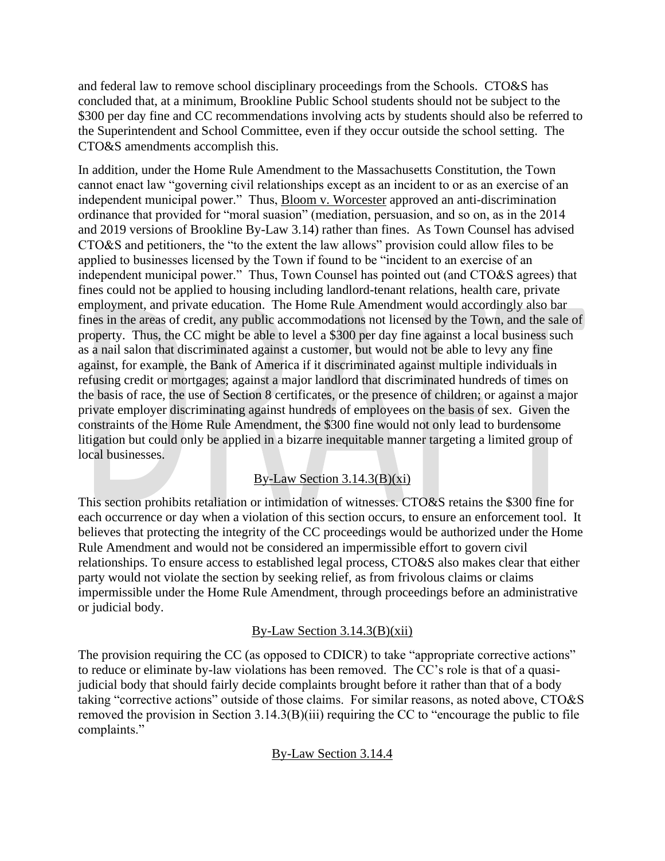and federal law to remove school disciplinary proceedings from the Schools. CTO&S has concluded that, at a minimum, Brookline Public School students should not be subject to the \$300 per day fine and CC recommendations involving acts by students should also be referred to the Superintendent and School Committee, even if they occur outside the school setting. The CTO&S amendments accomplish this.

In addition, under the Home Rule Amendment to the Massachusetts Constitution, the Town cannot enact law "governing civil relationships except as an incident to or as an exercise of an independent municipal power." Thus, Bloom v. Worcester approved an anti-discrimination ordinance that provided for "moral suasion" (mediation, persuasion, and so on, as in the 2014 and 2019 versions of Brookline By-Law 3.14) rather than fines. As Town Counsel has advised CTO&S and petitioners, the "to the extent the law allows" provision could allow files to be applied to businesses licensed by the Town if found to be "incident to an exercise of an independent municipal power." Thus, Town Counsel has pointed out (and CTO&S agrees) that fines could not be applied to housing including landlord-tenant relations, health care, private employment, and private education. The Home Rule Amendment would accordingly also bar fines in the areas of credit, any public accommodations not licensed by the Town, and the sale of property. Thus, the CC might be able to level a \$300 per day fine against a local business such as a nail salon that discriminated against a customer, but would not be able to levy any fine against, for example, the Bank of America if it discriminated against multiple individuals in refusing credit or mortgages; against a major landlord that discriminated hundreds of times on the basis of race, the use of Section 8 certificates, or the presence of children; or against a major private employer discriminating against hundreds of employees on the basis of sex. Given the constraints of the Home Rule Amendment, the \$300 fine would not only lead to burdensome litigation but could only be applied in a bizarre inequitable manner targeting a limited group of local businesses.

#### By-Law Section  $3.14.3(B)(xi)$

This section prohibits retaliation or intimidation of witnesses. CTO&S retains the \$300 fine for each occurrence or day when a violation of this section occurs, to ensure an enforcement tool. It believes that protecting the integrity of the CC proceedings would be authorized under the Home Rule Amendment and would not be considered an impermissible effort to govern civil relationships. To ensure access to established legal process, CTO&S also makes clear that either party would not violate the section by seeking relief, as from frivolous claims or claims impermissible under the Home Rule Amendment, through proceedings before an administrative or judicial body.

#### By-Law Section  $3.14.3(B)(xii)$

The provision requiring the CC (as opposed to CDICR) to take "appropriate corrective actions" to reduce or eliminate by-law violations has been removed. The CC's role is that of a quasijudicial body that should fairly decide complaints brought before it rather than that of a body taking "corrective actions" outside of those claims. For similar reasons, as noted above, CTO&S removed the provision in Section 3.14.3(B)(iii) requiring the CC to "encourage the public to file complaints."

#### By-Law Section 3.14.4